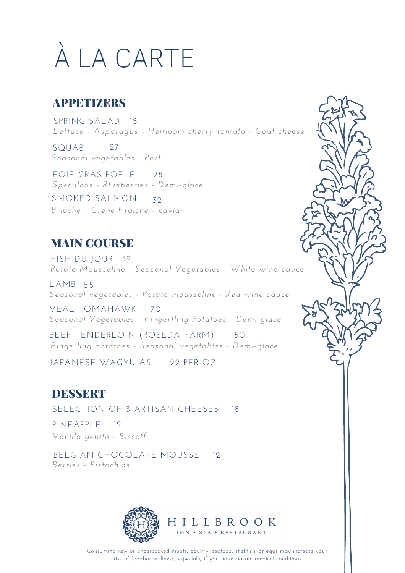# À LA CARTE

### **APPETIZERS**

SPRING SALAD 18 *Lettuce - Asparagus - Heirloom cherry tomato - Goat cheese*

SQUAB *Seasonal vegetables - Port* 27

FOIE GRAS POELE 28 *Speculoos - Blueberries - Demi-glace*

SMOKED SALMON *Brioche - Crene Fraiche - caviar* 32

## MAIN COURSE

FISH DU JOUR 39 *Potato Mousseline - Seasonal Vegetables - White wine sauce*

LAMB 55 *Seasonal vegetables - Potato mousseline - Red wine sauce*

VEAL TOMAHAWK 70 *Seasonal Vegetables - Fingertling Potatoes - Demi-glace*

BEEF TENDERLOIN (ROSEDA FARM) *Fingerling potatoes - Seasonal vegetables - Demi-glace* 50

JAPANESE WAGYU A5. 22 PER OZ

### **DESSERT**

SELECTION OF 3 ARTISAN CHEESES 18

PINEAPPLE 12 *Vanilla gelato - Biscoff*

BELGIAN CHOCOLATE MOUSSE 12 *Berries - Pistachios*



Consuming raw or undercooked meats, poultry, seafood, shellfish, or eggs may increase your risk of foodborne illness, especially if you have certain medical conditions.